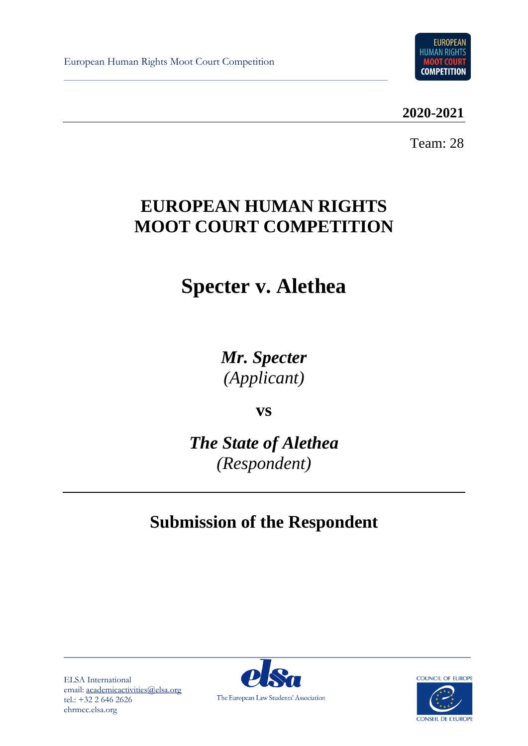European Human Rights Moot Court Competition



**2020-2021**

Team: 28

# **EUROPEAN HUMAN RIGHTS MOOT COURT COMPETITION**

# **Specter v. Alethea**

*Mr. Specter (Applicant)*

**vs**

*The State of Alethea (Respondent)*

# **Submission of the Respondent**

ELSA International email: [academicactivities@elsa.org](mailto:academicactivities@elsa.org) tel.: +32 2 646 2626 ehrmcc.elsa.org



**COUNCIL OF EUROPE** 

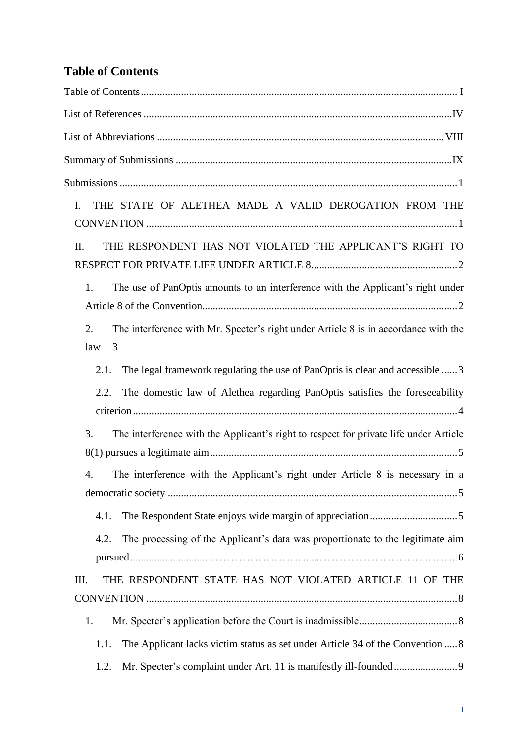# <span id="page-1-0"></span>**Table of Contents**

| THE STATE OF ALETHEA MADE A VALID DEROGATION FROM THE<br>$I_{\cdot}$                                  |
|-------------------------------------------------------------------------------------------------------|
| THE RESPONDENT HAS NOT VIOLATED THE APPLICANT'S RIGHT TO<br>II.                                       |
| The use of PanOptis amounts to an interference with the Applicant's right under<br>1.                 |
| The interference with Mr. Specter's right under Article 8 is in accordance with the<br>2.<br>law<br>3 |
| The legal framework regulating the use of PanOptis is clear and accessible 3<br>2.1.                  |
| The domestic law of Alethea regarding PanOptis satisfies the foreseeability<br>2.2.                   |
| The interference with the Applicant's right to respect for private life under Article<br>3.           |
| The interference with the Applicant's right under Article 8 is necessary in a<br>4.                   |
| 4.1.                                                                                                  |
| The processing of the Applicant's data was proportionate to the legitimate aim<br>4.2.                |
| THE RESPONDENT STATE HAS NOT VIOLATED ARTICLE 11 OF THE<br>Ш.                                         |
| 1.                                                                                                    |
| The Applicant lacks victim status as set under Article 34 of the Convention  8<br>1.1.                |
|                                                                                                       |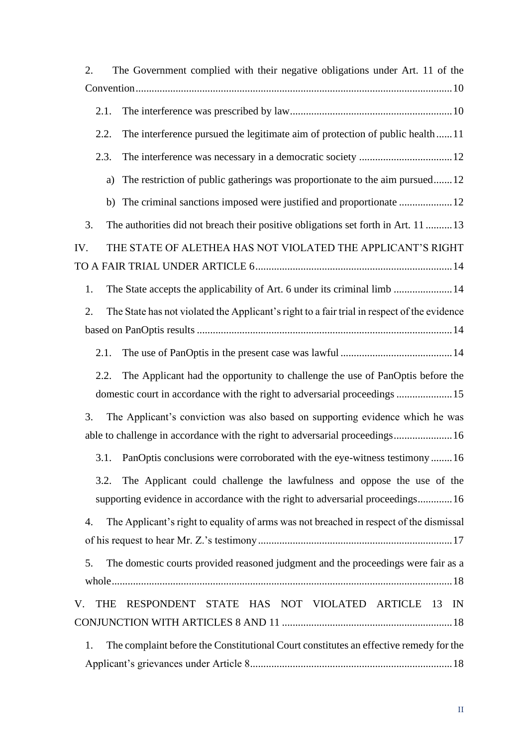| 2.   | The Government complied with their negative obligations under Art. 11 of the                                                                                  |  |
|------|---------------------------------------------------------------------------------------------------------------------------------------------------------------|--|
|      |                                                                                                                                                               |  |
| 2.1. |                                                                                                                                                               |  |
| 2.2. | The interference pursued the legitimate aim of protection of public health11                                                                                  |  |
| 2.3. |                                                                                                                                                               |  |
| a)   | The restriction of public gatherings was proportionate to the aim pursued12                                                                                   |  |
|      |                                                                                                                                                               |  |
| 3.   | The authorities did not breach their positive obligations set forth in Art. 11 13                                                                             |  |
| IV.  | THE STATE OF ALETHEA HAS NOT VIOLATED THE APPLICANT'S RIGHT                                                                                                   |  |
| 1.   | The State accepts the applicability of Art. 6 under its criminal limb  14                                                                                     |  |
| 2.   | The State has not violated the Applicant's right to a fair trial in respect of the evidence                                                                   |  |
|      |                                                                                                                                                               |  |
| 2.1. |                                                                                                                                                               |  |
| 2.2. | The Applicant had the opportunity to challenge the use of PanOptis before the<br>domestic court in accordance with the right to adversarial proceedings 15    |  |
| 3.   | The Applicant's conviction was also based on supporting evidence which he was<br>able to challenge in accordance with the right to adversarial proceedings 16 |  |
|      | 3.1. PanOptis conclusions were corroborated with the eye-witness testimony 16                                                                                 |  |
| 3.2. | The Applicant could challenge the lawfulness and oppose the use of the<br>supporting evidence in accordance with the right to adversarial proceedings16       |  |
| 4.   | The Applicant's right to equality of arms was not breached in respect of the dismissal                                                                        |  |
| 5.   | The domestic courts provided reasoned judgment and the proceedings were fair as a                                                                             |  |
|      | V. THE RESPONDENT STATE HAS NOT VIOLATED ARTICLE 13 IN                                                                                                        |  |
|      |                                                                                                                                                               |  |
| 1.   | The complaint before the Constitutional Court constitutes an effective remedy for the                                                                         |  |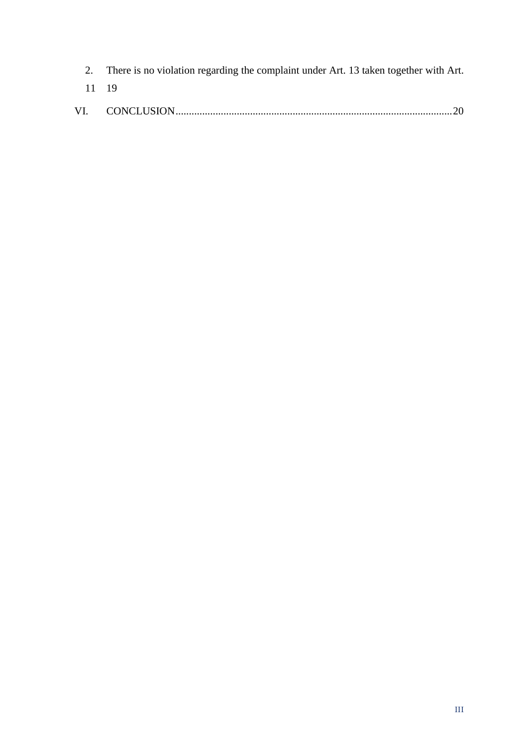|       | 2. There is no violation regarding the complaint under Art. 13 taken together with Art. |
|-------|-----------------------------------------------------------------------------------------|
| 11 19 |                                                                                         |
|       |                                                                                         |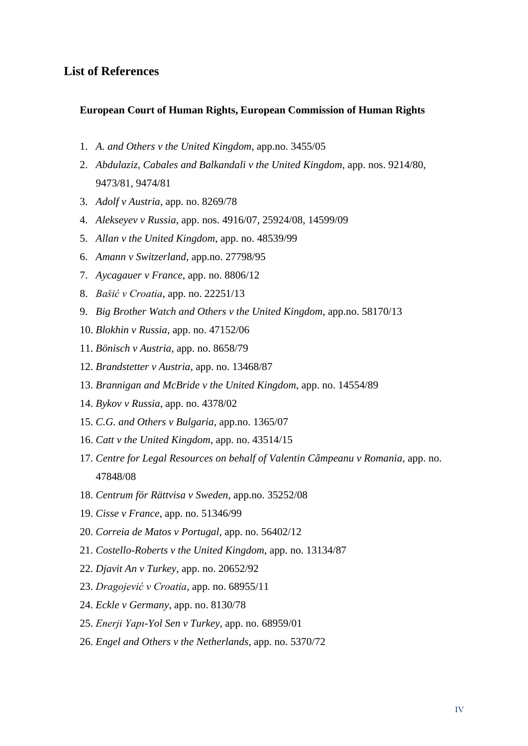### <span id="page-4-0"></span>**List of References**

#### **European Court of Human Rights, European Commission of Human Rights**

- 1. *A. and Others v the United Kingdom*, app.no. 3455/05
- 2. *Abdulaziz, Cabales and Balkandali v the United Kingdom*, app. nos. 9214/80, 9473/81, 9474/81
- 3. *Adolf v Austria*, app. no. 8269/78
- 4. *Alekseyev v Russia*, app. nos. 4916/07, 25924/08, 14599/09
- 5. *Allan v the United Kingdom*, app. no. 48539/99
- 6. *Amann v Switzerland*, app.no. 27798/95
- 7. *Aycagauer v France*, app. no. 8806/12
- 8. *Bašić v Croatia*, app. no. 22251/13
- 9. *Big Brother Watch and Others v the United Kingdom*, app.no. 58170/13
- 10. *Blokhin v Russia*, app. no. 47152/06
- 11. *Bönisch v Austria*, app. no. 8658/79
- 12. *Brandstetter v Austria*, app. no. 13468/87
- 13. *Brannigan and McBride v the United Kingdom*, app. no. 14554/89
- 14. *Bykov v Russia*, app. no. 4378/02
- 15. *C.G. and Others v Bulgaria*, app.no. 1365/07
- 16. *Catt v the United Kingdom*, app. no. 43514/15
- 17. *Centre for Legal Resources on behalf of Valentin Câmpeanu v Romania*, app. no. 47848/08
- 18. *Centrum för Rättvisa v Sweden*, app.no. 35252/08
- 19. *Cisse v France*, app. no. 51346/99
- 20. *Correia de Matos v Portugal*, app. no. 56402/12
- 21. *Costello-Roberts v the United Kingdom*, app. no. 13134/87
- 22. *Djavit An v Turkey*, app. no. 20652/92
- 23. *Dragojević v Croatia*, app. no. 68955/11
- 24. *Eckle v Germany*, app. no. 8130/78
- 25. *Enerji Yapı-Yol Sen v Turkey*, app. no. 68959/01
- 26. *Engel and Others v the Netherlands*, app. no. 5370/72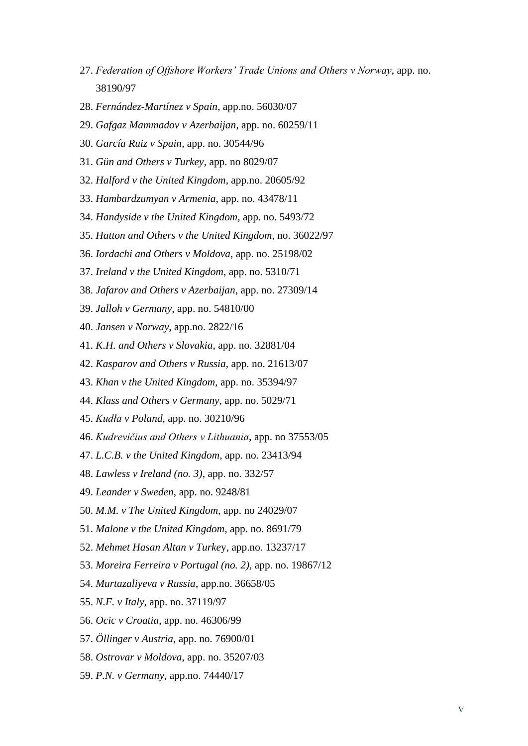- 27. *Federation of Offshore Workers' Trade Unions and Others v Norway*, app. no. 38190/97
- 28. *Fernández-Martínez v Spain*, app.no. 56030/07
- 29. *Gafgaz Mammadov v Azerbaijan*, app. no. 60259/11
- 30. *García Ruiz v Spain*, app. no. 30544/96
- 31. *Gün and Others v Turkey*, app. no 8029/07
- 32. *Halford v the United Kingdom*, app.no. 20605/92
- 33. *Hambardzumyan v Armenia*, app. no. 43478/11
- 34. *Handyside v the United Kingdom*, app. no. 5493/72
- 35. *Hatton and Others v the United Kingdom*, no. [36022/97](https://hudoc.echr.coe.int/eng#{%22appno%22:[%2236022/97%22]})
- 36. *Iordachi and Others v Moldova*, app. no. 25198/02
- 37. *Ireland v the United Kingdom*, app. no. 5310/71
- 38. *Jafarov and Others v Azerbaijan*, app. no. 27309/14
- 39. *Jalloh v Germany*, app. no. 54810/00
- 40. *Jansen v Norway*, app.no. 2822/16
- 41. *K.H. and Others v Slovakia*, app. no. 32881/04
- 42. *Kasparov and Others v Russia*, app. no. 21613/07
- 43. *Khan v the United Kingdom*, app. no. 35394/97
- 44. *Klass and Others v Germany*, app. no. 5029/71
- 45. *Kudła v Poland,* app. no. 30210/96
- 46. *Kudrevičius and Others v Lithuania*, app. no 37553/05
- 47. *L.C.B. v the United Kingdom*, app. no. 23413/94
- 48. *Lawless v Ireland (no. 3)*, app. no. 332/57
- 49. *Leander v Sweden*, app. no. 9248/81
- 50. *M.M. v The United Kingdom*, app. no 24029/07
- 51. *Malone v the United Kingdom*, app. no. 8691/79
- 52. *Mehmet Hasan Altan v Turke*y, app.no. 13237/17
- 53. *Moreira Ferreira v Portugal (no. 2)*, app. no. 19867/12
- 54. *Murtazaliyeva v Russia*, app.no. 36658/05
- 55. *N.F. v Italy*, app. no. 37119/97
- 56. *Ocic v Croatia*, app. no. 46306/99
- 57. *Öllinger v Austria*, app. no. 76900/01
- 58. *Ostrovar v Moldova*, app. no. 35207/03
- 59. *P.N. v Germany*, app.no. 74440/17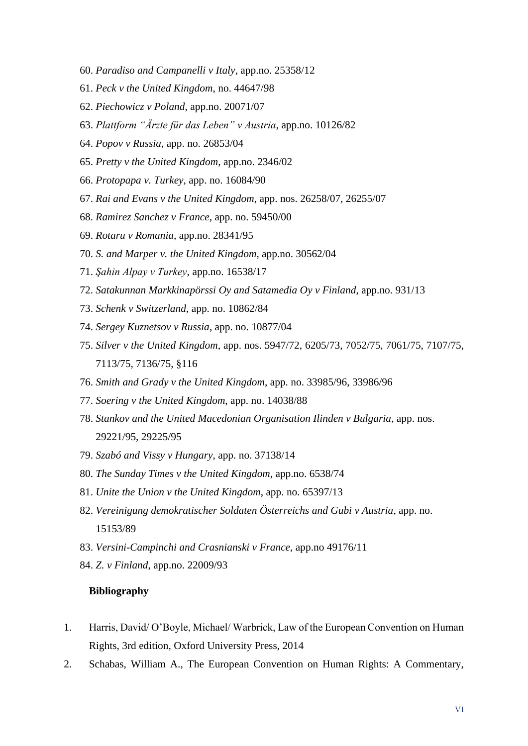- 60. *Paradiso and Campanelli v Italy*, app.no. 25358/12
- 61. *Peck v the United Kingdom*, no. [44647/98](https://hudoc.echr.coe.int/eng#{%22appno%22:[%2244647/98%22]})
- 62. *Piechowicz v Poland*, app.no. 20071/07
- 63. *Plattform "Ärzte für das Leben" v Austria*, app.no. 10126/82
- 64. *Popov v Russia*, app. no. 26853/04
- 65. *Pretty v the United Kingdom*, app.no. 2346/02
- 66. *Protopapa v. Turkey*, app. no. 16084/90
- 67. *Rai and Evans v the United Kingdom*, app. nos. 26258/07, 26255/07
- 68. *Ramirez Sanchez v France*, app. no. 59450/00
- 69. *Rotaru v Romania*, app.no. 28341/95
- 70. *S. and Marper v. the United Kingdom*, app.no. 30562/04
- 71. *Şahin Alpay v Turkey*, app.no. 16538/17
- 72. *Satakunnan Markkinapörssi Oy and Satamedia Oy v Finland*, app.no. 931/13
- 73. *Schenk v Switzerland*, app. no. 10862/84
- 74. *Sergey Kuznetsov v Russia*, app. no. 10877/04
- 75. *Silver v the United Kingdom*, app. nos. 5947/72, 6205/73, 7052/75, 7061/75, 7107/75, 7113/75, 7136/75, §116
- 76. *Smith and Grady v the United Kingdom*, app. no. [33985/96,](https://hudoc.echr.coe.int/eng#{%22appno%22:[%2233985/96%22]}) [33986/96](https://hudoc.echr.coe.int/eng#{%22appno%22:[%2233986/96%22]})
- 77. *Soering v the United Kingdom*, app. no. 14038/88
- 78. *Stankov and the United Macedonian Organisation Ilinden v Bulgaria*, app. nos. 29221/95, 29225/95
- 79. *Szabó and Vissy v Hungary*, app. no. 37138/14
- 80. *The Sunday Times v the United Kingdom*, app.no. 6538/74
- 81. *Unite the Union v the United Kingdom*, app. no. 65397/13
- 82. *Vereinigung demokratischer Soldaten Österreichs and Gubi v Austria*, app. no. 15153/89
- 83. *Versini-Campinchi and Crasnianski v France*, app.no 49176/11
- 84. *Z. v Finland*, app.no. 22009/93

#### **Bibliography**

- 1. Harris, David/ O'Boyle, Michael/ Warbrick, Law of the European Convention on Human Rights, 3rd edition, Oxford University Press, 2014
- 2. Schabas, William A., The European Convention on Human Rights: A Commentary,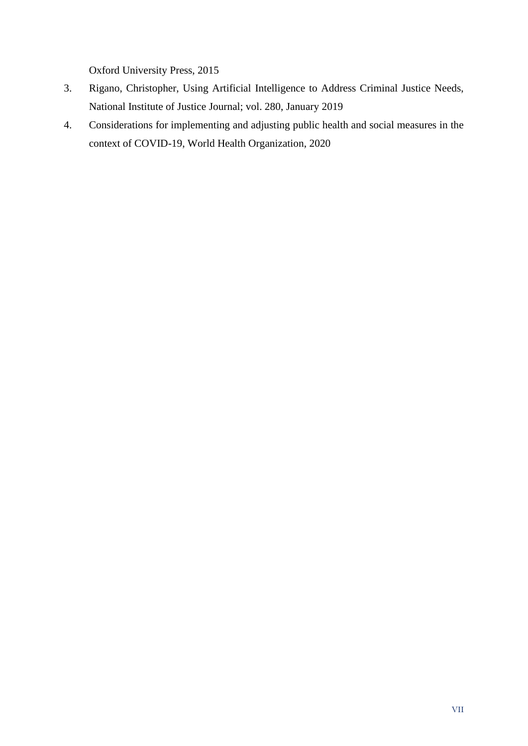Oxford University Press, 2015

- 3. Rigano, Christopher, Using Artificial Intelligence to Address Criminal Justice Needs, National Institute of Justice Journal; vol. 280, January 2019
- 4. Considerations for implementing and adjusting public health and social measures in the context of COVID-19, World Health Organization, 2020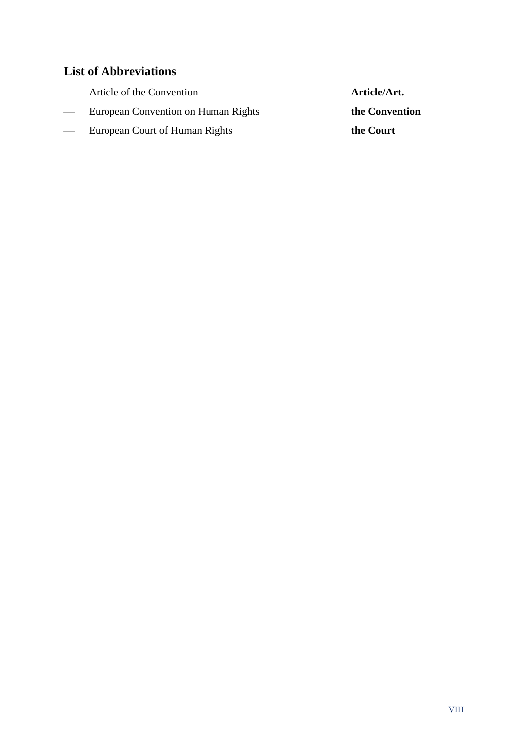## <span id="page-8-0"></span>**List of Abbreviations**

| $\overline{\phantom{a}}$ | Article of the Convention           | Article/Art.   |
|--------------------------|-------------------------------------|----------------|
| $\overline{\phantom{0}}$ | European Convention on Human Rights | the Convention |
| $\overline{\phantom{a}}$ | European Court of Human Rights      | the Court      |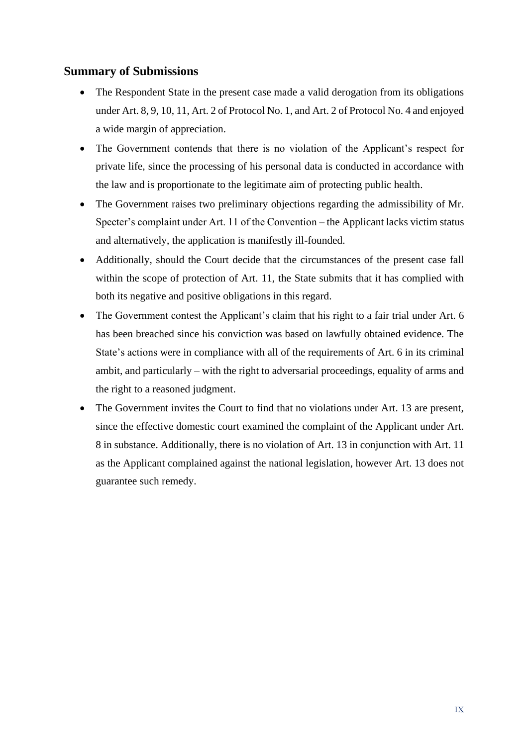### <span id="page-9-0"></span>**Summary of Submissions**

- The Respondent State in the present case made a valid derogation from its obligations under Art. 8, 9, 10, 11, Art. 2 of Protocol No. 1, and Art. 2 of Protocol No. 4 and enjoyed a wide margin of appreciation.
- The Government contends that there is no violation of the Applicant's respect for private life, since the processing of his personal data is conducted in accordance with the law and is proportionate to the legitimate aim of protecting public health.
- The Government raises two preliminary objections regarding the admissibility of Mr. Specter's complaint under Art. 11 of the Convention – the Applicant lacks victim status and alternatively, the application is manifestly ill-founded.
- Additionally, should the Court decide that the circumstances of the present case fall within the scope of protection of Art. 11, the State submits that it has complied with both its negative and positive obligations in this regard.
- The Government contest the Applicant's claim that his right to a fair trial under Art. 6 has been breached since his conviction was based on lawfully obtained evidence. The State's actions were in compliance with all of the requirements of Art. 6 in its criminal ambit, and particularly – with the right to adversarial proceedings, equality of arms and the right to a reasoned judgment.
- The Government invites the Court to find that no violations under Art. 13 are present, since the effective domestic court examined the complaint of the Applicant under Art. 8 in substance. Additionally, there is no violation of Art. 13 in conjunction with Art. 11 as the Applicant complained against the national legislation, however Art. 13 does not guarantee such remedy.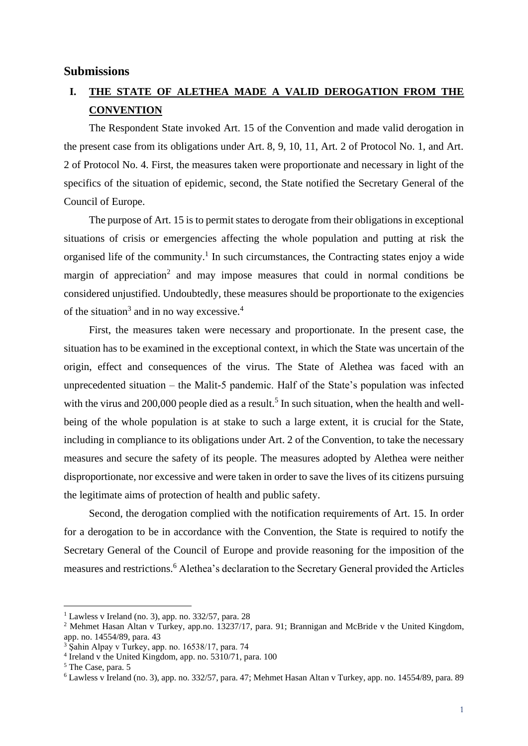#### <span id="page-10-0"></span>**Submissions**

### <span id="page-10-1"></span>**I. THE STATE OF ALETHEA MADE A VALID DEROGATION FROM THE CONVENTION**

The Respondent State invoked Art. 15 of the Convention and made valid derogation in the present case from its obligations under Art. 8, 9, 10, 11, Art. 2 of Protocol No. 1, and Art. 2 of Protocol No. 4. First, the measures taken were proportionate and necessary in light of the specifics of the situation of epidemic, second, the State notified the Secretary General of the Council of Europe.

The purpose of Art. 15 is to permit states to derogate from their obligations in exceptional situations of crisis or emergencies affecting the whole population and putting at risk the organised life of the community.<sup>1</sup> In such circumstances, the Contracting states enjoy a wide margin of appreciation<sup>2</sup> and may impose measures that could in normal conditions be considered unjustified. Undoubtedly, these measures should be proportionate to the exigencies of the situation<sup>3</sup> and in no way excessive.<sup>4</sup>

First, the measures taken were necessary and proportionate. In the present case, the situation has to be examined in the exceptional context, in which the State was uncertain of the origin, effect and consequences of the virus. The State of Alethea was faced with an unprecedented situation – the Malit-5 pandemic. Half of the State's population was infected with the virus and 200,000 people died as a result.<sup>5</sup> In such situation, when the health and wellbeing of the whole population is at stake to such a large extent, it is crucial for the State, including in compliance to its obligations under Art. 2 of the Convention, to take the necessary measures and secure the safety of its people. The measures adopted by Alethea were neither disproportionate, nor excessive and were taken in order to save the lives of its citizens pursuing the legitimate aims of protection of health and public safety.

Second, the derogation complied with the notification requirements of Art. 15. In order for a derogation to be in accordance with the Convention, the State is required to notify the Secretary General of the Council of Europe and provide reasoning for the imposition of the measures and restrictions.<sup>6</sup> Alethea's declaration to the Secretary General provided the Articles

<sup>&</sup>lt;sup>1</sup> Lawless v Ireland (no. 3), app. no. 332/57, para. 28

<sup>2</sup> Mehmet Hasan Altan v Turkey, app.no. 13237/17, para. 91; Brannigan and McBride v the United Kingdom, app. no. 14554/89, para. 43

<sup>3</sup> Şahin Alpay v Turkey, app. no. 16538/17, para. 74

<sup>4</sup> Ireland v the United Kingdom, app. no. 5310/71, para. 100

<sup>5</sup> The Case, para. 5

<sup>6</sup> Lawless v Ireland (no. 3), app. no. 332/57, para. 47; Mehmet Hasan Altan v Turkey, app. no. 14554/89, para. 89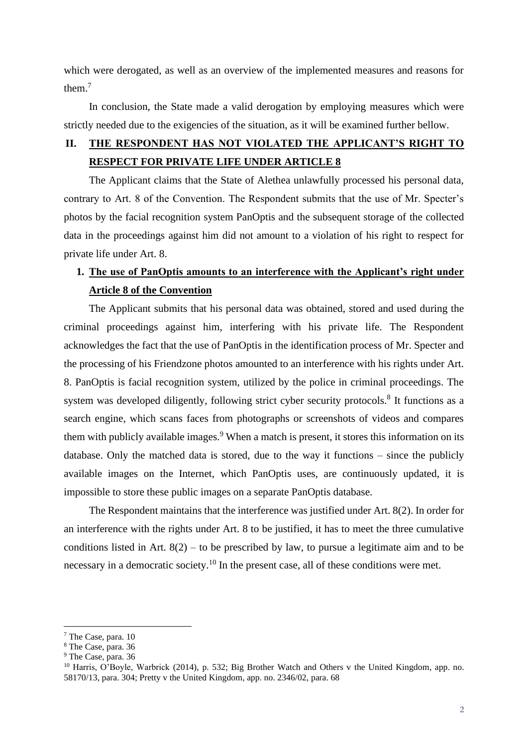which were derogated, as well as an overview of the implemented measures and reasons for them<sup>7</sup>

In conclusion, the State made a valid derogation by employing measures which were strictly needed due to the exigencies of the situation, as it will be examined further bellow.

## <span id="page-11-0"></span>**II. THE RESPONDENT HAS NOT VIOLATED THE APPLICANT'S RIGHT TO RESPECT FOR PRIVATE LIFE UNDER ARTICLE 8**

The Applicant claims that the State of Alethea unlawfully processed his personal data, contrary to Art. 8 of the Convention. The Respondent submits that the use of Mr. Specter's photos by the facial recognition system PanOptis and the subsequent storage of the collected data in the proceedings against him did not amount to a violation of his right to respect for private life under Art. 8.

### <span id="page-11-1"></span>**1. The use of PanOptis amounts to an interference with the Applicant's right under Article 8 of the Convention**

The Applicant submits that his personal data was obtained, stored and used during the criminal proceedings against him, interfering with his private life. The Respondent acknowledges the fact that the use of PanOptis in the identification process of Mr. Specter and the processing of his Friendzone photos amounted to an interference with his rights under Art. 8. PanOptis is facial recognition system, utilized by the police in criminal proceedings. The system was developed diligently, following strict cyber security protocols.<sup>8</sup> It functions as a search engine, which scans faces from photographs or screenshots of videos and compares them with publicly available images.<sup>9</sup> When a match is present, it stores this information on its database. Only the matched data is stored, due to the way it functions – since the publicly available images on the Internet, which PanOptis uses, are continuously updated, it is impossible to store these public images on a separate PanOptis database.

The Respondent maintains that the interference was justified under Art. 8(2). In order for an interference with the rights under Art. 8 to be justified, it has to meet the three cumulative conditions listed in Art.  $8(2)$  – to be prescribed by law, to pursue a legitimate aim and to be necessary in a democratic society.<sup>10</sup> In the present case, all of these conditions were met.

<sup>7</sup> The Case, para. 10

<sup>8</sup> The Case, para. 36

<sup>9</sup> The Case, para. 36

<sup>&</sup>lt;sup>10</sup> Harris, O'Boyle, Warbrick (2014), p. 532; Big Brother Watch and Others v the United Kingdom, app. no. 58170/13, para. 304; Pretty v the United Kingdom, app. no. 2346/02, para. 68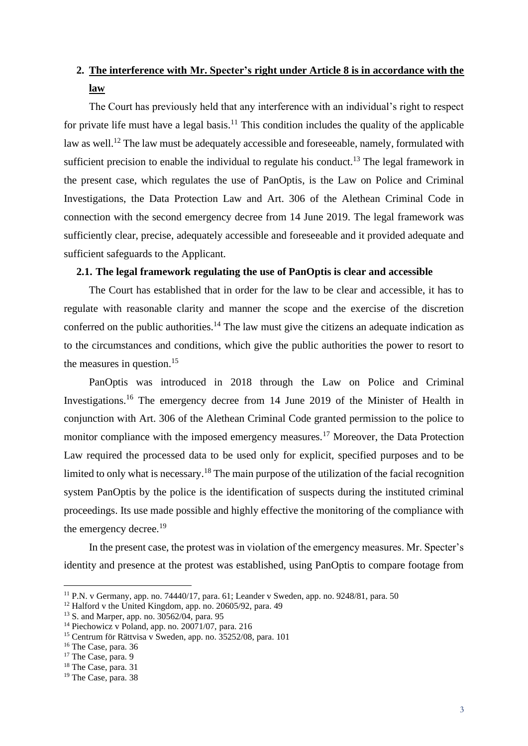## <span id="page-12-0"></span>**2. The interference with Mr. Specter's right under Article 8 is in accordance with the law**

The Court has previously held that any interference with an individual's right to respect for private life must have a legal basis.<sup>11</sup> This condition includes the quality of the applicable law as well.<sup>12</sup> The law must be adequately accessible and foreseeable, namely, formulated with sufficient precision to enable the individual to regulate his conduct.<sup>13</sup> The legal framework in the present case, which regulates the use of PanOptis, is the Law on Police and Criminal Investigations, the Data Protection Law and Art. 306 of the Alethean Criminal Code in connection with the second emergency decree from 14 June 2019. The legal framework was sufficiently clear, precise, adequately accessible and foreseeable and it provided adequate and sufficient safeguards to the Applicant.

### <span id="page-12-1"></span>**2.1. The legal framework regulating the use of PanOptis is clear and accessible**

The Court has established that in order for the law to be clear and accessible, it has to regulate with reasonable clarity and manner the scope and the exercise of the discretion conferred on the public authorities.<sup>14</sup> The law must give the citizens an adequate indication as to the circumstances and conditions, which give the public authorities the power to resort to the measures in question.<sup>15</sup>

PanOptis was introduced in 2018 through the Law on Police and Criminal Investigations.<sup>16</sup> The emergency decree from 14 June 2019 of the Minister of Health in conjunction with Art. 306 of the Alethean Criminal Code granted permission to the police to monitor compliance with the imposed emergency measures.<sup>17</sup> Moreover, the Data Protection Law required the processed data to be used only for explicit, specified purposes and to be limited to only what is necessary.<sup>18</sup> The main purpose of the utilization of the facial recognition system PanOptis by the police is the identification of suspects during the instituted criminal proceedings. Its use made possible and highly effective the monitoring of the compliance with the emergency decree.<sup>19</sup>

In the present case, the protest was in violation of the emergency measures. Mr. Specter's identity and presence at the protest was established, using PanOptis to compare footage from

<sup>11</sup> P.N. v Germany, app. no. 74440/17, para. 61; Leander v Sweden, app. no. 9248/81, para. 50

 $12$  Halford v the United Kingdom, app. no. 20605/92, para. 49

<sup>13</sup> S. and Marper, app. no. 30562/04, para. 95

<sup>14</sup> Piechowicz v Poland, app. no. 20071/07, para. 216

<sup>15</sup> Centrum för Rättvisa v Sweden, app. no. 35252/08, para. 101

<sup>16</sup> The Case, para. 36

<sup>&</sup>lt;sup>17</sup> The Case, para. 9

<sup>&</sup>lt;sup>18</sup> The Case, para. 31

<sup>&</sup>lt;sup>19</sup> The Case, para. 38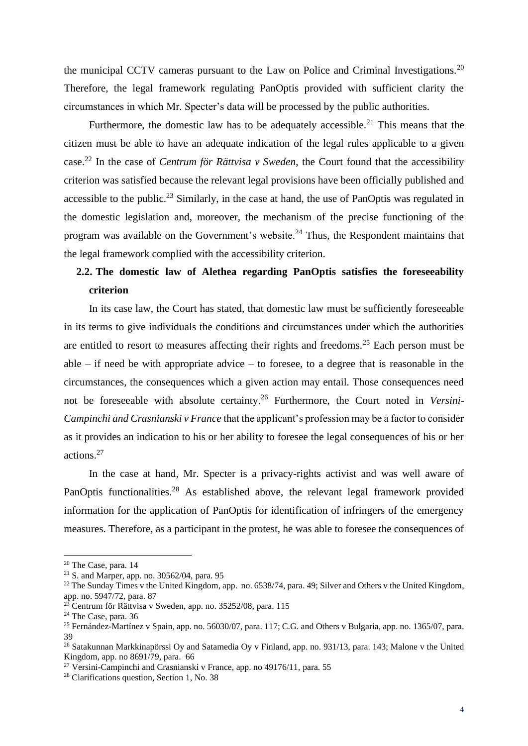the municipal CCTV cameras pursuant to the Law on Police and Criminal Investigations.<sup>20</sup> Therefore, the legal framework regulating PanOptis provided with sufficient clarity the circumstances in which Mr. Specter's data will be processed by the public authorities.

Furthermore, the domestic law has to be adequately accessible.<sup>21</sup> This means that the citizen must be able to have an adequate indication of the legal rules applicable to a given case.<sup>22</sup> In the case of *Centrum för Rättvisa v Sweden*, the Court found that the accessibility criterion was satisfied because the relevant legal provisions have been officially published and accessible to the public.<sup>23</sup> Similarly, in the case at hand, the use of PanOptis was regulated in the domestic legislation and, moreover, the mechanism of the precise functioning of the program was available on the Government's website.<sup>24</sup> Thus, the Respondent maintains that the legal framework complied with the accessibility criterion.

### <span id="page-13-0"></span>**2.2. The domestic law of Alethea regarding PanOptis satisfies the foreseeability criterion**

In its case law, the Court has stated, that domestic law must be sufficiently foreseeable in its terms to give individuals the conditions and circumstances under which the authorities are entitled to resort to measures affecting their rights and freedoms.<sup>25</sup> Each person must be able – if need be with appropriate advice – to foresee, to a degree that is reasonable in the circumstances, the consequences which a given action may entail. Those consequences need not be foreseeable with absolute certainty.<sup>26</sup> Furthermore, the Court noted in *Versini-Campinchi and Crasnianski v France* that the applicant's profession may be a factor to consider as it provides an indication to his or her ability to foresee the legal consequences of his or her actions.<sup>27</sup>

In the case at hand, Mr. Specter is a privacy-rights activist and was well aware of PanOptis functionalities.<sup>28</sup> As established above, the relevant legal framework provided information for the application of PanOptis for identification of infringers of the emergency measures. Therefore, as a participant in the protest, he was able to foresee the consequences of

<sup>20</sup> The Case, para. 14

 $21$  S. and Marper, app. no. 30562/04, para. 95

<sup>&</sup>lt;sup>22</sup> The Sunday Times v the United Kingdom, app. no. 6538/74, para. 49; Silver and Others v the United Kingdom, app. no. 5947/72, para. 87

 $^{23}$  Centrum för Rättvisa v Sweden, app. no. 35252/08, para. 115

<sup>24</sup> The Case, para. 36

<sup>&</sup>lt;sup>25</sup> Fernández-Martínez v Spain, app. no. 56030/07, para. 117; C.G. and Others v Bulgaria, app. no. 1365/07, para. 39

 $26$  Satakunnan Markkinapörssi Oy and Satamedia Oy v Finland, app. no. 931/13, para. 143; Malone v the United Kingdom, app. no 8691/79, para. 66

<sup>&</sup>lt;sup>27</sup> Versini-Campinchi and Crasnianski v France, app. no 49176/11, para. 55

<sup>&</sup>lt;sup>28</sup> Clarifications question, Section 1, No. 38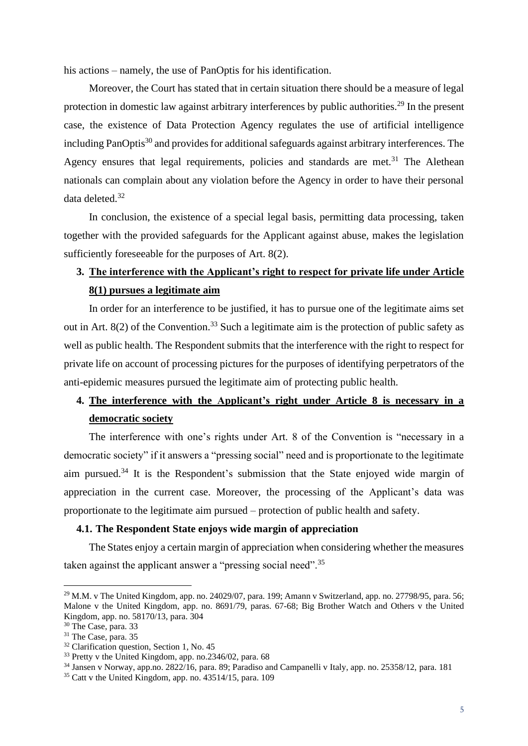his actions – namely, the use of PanOptis for his identification.

Moreover, the Court has stated that in certain situation there should be a measure of legal protection in domestic law against arbitrary interferences by public authorities.<sup>29</sup> In the present case, the existence of Data Protection Agency regulates the use of artificial intelligence including PanOptis<sup>30</sup> and provides for additional safeguards against arbitrary interferences. The Agency ensures that legal requirements, policies and standards are met.<sup>31</sup> The Alethean nationals can complain about any violation before the Agency in order to have their personal data deleted.<sup>32</sup>

In conclusion, the existence of a special legal basis, permitting data processing, taken together with the provided safeguards for the Applicant against abuse, makes the legislation sufficiently foreseeable for the purposes of Art. 8(2).

### <span id="page-14-0"></span>**3. The interference with the Applicant's right to respect for private life under Article 8(1) pursues a legitimate aim**

In order for an interference to be justified, it has to pursue one of the legitimate aims set out in Art.  $8(2)$  of the Convention.<sup>33</sup> Such a legitimate aim is the protection of public safety as well as public health. The Respondent submits that the interference with the right to respect for private life on account of processing pictures for the purposes of identifying perpetrators of the anti-epidemic measures pursued the legitimate aim of protecting public health.

## <span id="page-14-1"></span>**4. The interference with the Applicant's right under Article 8 is necessary in a democratic society**

The interference with one's rights under Art. 8 of the Convention is "necessary in a democratic society" if it answers a "pressing social" need and is proportionate to the legitimate aim pursued.<sup>34</sup> It is the Respondent's submission that the State enjoyed wide margin of appreciation in the current case. Moreover, the processing of the Applicant's data was proportionate to the legitimate aim pursued – protection of public health and safety.

### <span id="page-14-2"></span>**4.1. The Respondent State enjoys wide margin of appreciation**

The States enjoy a certain margin of appreciation when considering whether the measures taken against the applicant answer a "pressing social need".<sup>35</sup>

 $^{29}$  M.M. v The United Kingdom, app. no. 24029/07, para. 199; Amann v Switzerland, app. no. 27798/95, para. 56; Malone v the United Kingdom, app. no. 8691/79, paras. 67-68; Big Brother Watch and Others v the United Kingdom, app. no. 58170/13, para. 304

<sup>30</sup> The Case, para. 33

<sup>31</sup> The Case, para. 35

<sup>&</sup>lt;sup>32</sup> Clarification question, Section 1, No. 45

 $33$  Pretty v the United Kingdom, app. no. 2346/02, para. 68

<sup>34</sup> Jansen v Norway, app.no. 2822/16, para. 89; Paradiso and Campanelli v Italy, app. no. 25358/12, para. 181

 $35$  Catt v the United Kingdom, app. no.  $43514/15$ , para. 109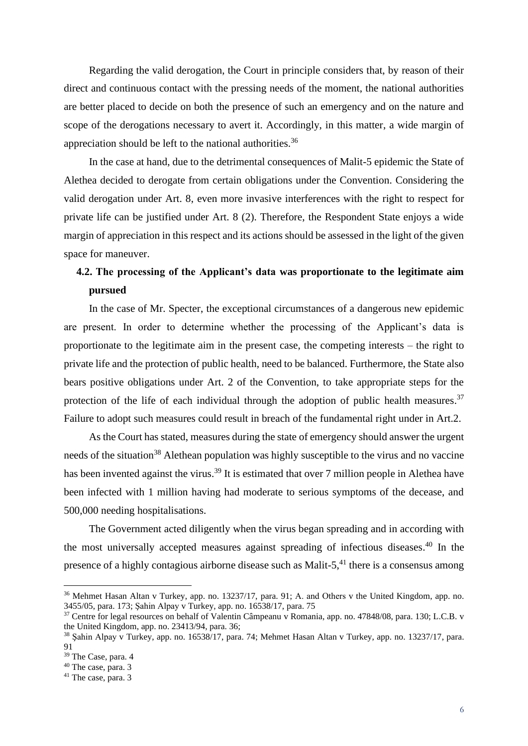Regarding the valid derogation, the Court in principle considers that, by reason of their direct and continuous contact with the pressing needs of the moment, the national authorities are better placed to decide on both the presence of such an emergency and on the nature and scope of the derogations necessary to avert it. Accordingly, in this matter, a wide margin of appreciation should be left to the national authorities.<sup>36</sup>

In the case at hand, due to the detrimental consequences of Malit-5 epidemic the State of Alethea decided to derogate from certain obligations under the Convention. Considering the valid derogation under Art. 8, even more invasive interferences with the right to respect for private life can be justified under Art. 8 (2). Therefore, the Respondent State enjoys a wide margin of appreciation in this respect and its actions should be assessed in the light of the given space for maneuver.

### <span id="page-15-0"></span>**4.2. The processing of the Applicant's data was proportionate to the legitimate aim pursued**

In the case of Mr. Specter, the exceptional circumstances of a dangerous new epidemic are present. In order to determine whether the processing of the Applicant's data is proportionate to the legitimate aim in the present case, the competing interests – the right to private life and the protection of public health, need to be balanced. Furthermore, the State also bears positive obligations under Art. 2 of the Convention, to take appropriate steps for the protection of the life of each individual through the adoption of public health measures.<sup>37</sup> Failure to adopt such measures could result in breach of the fundamental right under in Art.2.

As the Court has stated, measures during the state of emergency should answer the urgent needs of the situation<sup>38</sup> Alethean population was highly susceptible to the virus and no vaccine has been invented against the virus.<sup>39</sup> It is estimated that over 7 million people in Alethea have been infected with 1 million having had moderate to serious symptoms of the decease, and 500,000 needing hospitalisations.

The Government acted diligently when the virus began spreading and in according with the most universally accepted measures against spreading of infectious diseases. <sup>40</sup> In the presence of a highly contagious airborne disease such as Malit-5,<sup>41</sup> there is a consensus among

<sup>36</sup> Mehmet Hasan Altan v Turkey, app. no. 13237/17, para. 91; А. and Others v the United Kingdom, app. no. 3455/05, para. 173; Şahin Alpay v Turkey, app. no. 16538/17, para. 75

<sup>37</sup> Centre for legal resources on behalf of Valentin Câmpeanu v Romania, app. no. 47848/08, para. 130; L.C.B. v the United Kingdom, app. no. 23413/94, para. 36;

<sup>38</sup> Şahin Alpay v Turkey, app. no. 16538/17, para. 74; Mehmet Hasan Altan v Turkey, app. no. 13237/17, para. 91

<sup>39</sup> The Case, para. 4

 $40$  The case, para. 3

<sup>&</sup>lt;sup>41</sup> The case, para. 3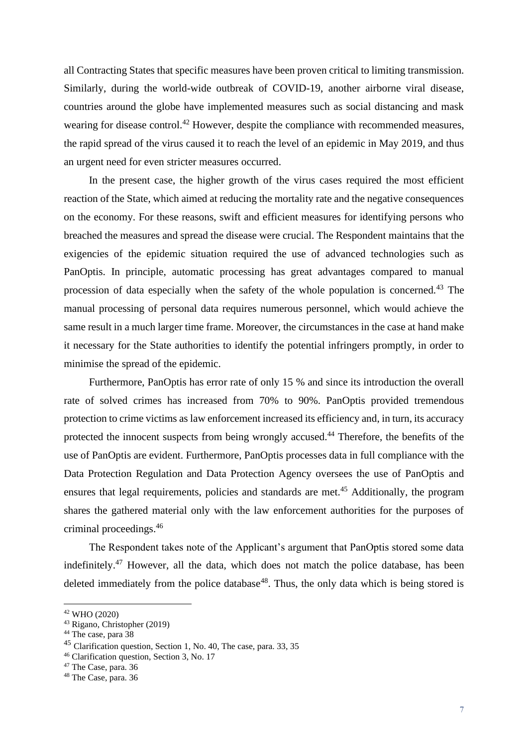all Contracting States that specific measures have been proven critical to limiting transmission. Similarly, during the world-wide outbreak of COVID-19, another airborne viral disease, countries around the globe have implemented measures such as social distancing and mask wearing for disease control.<sup>42</sup> However, despite the compliance with recommended measures, the rapid spread of the virus caused it to reach the level of an epidemic in May 2019, and thus an urgent need for even stricter measures occurred.

In the present case, the higher growth of the virus cases required the most efficient reaction of the State, which aimed at reducing the mortality rate and the negative consequences on the economy. For these reasons, swift and efficient measures for identifying persons who breached the measures and spread the disease were crucial. The Respondent maintains that the exigencies of the epidemic situation required the use of advanced technologies such as PanOptis. In principle, automatic processing has great advantages compared to manual procession of data especially when the safety of the whole population is concerned.<sup>43</sup> The manual processing of personal data requires numerous personnel, which would achieve the same result in a much larger time frame. Moreover, the circumstances in the case at hand make it necessary for the State authorities to identify the potential infringers promptly, in order to minimise the spread of the epidemic.

Furthermore, PanOptis has error rate of only 15 % and since its introduction the overall rate of solved crimes has increased from 70% to 90%. PanOptis provided tremendous protection to crime victims as law enforcement increased its efficiency and, in turn, its accuracy protected the innocent suspects from being wrongly accused.<sup>44</sup> Therefore, the benefits of the use of PanOptis are evident. Furthermore, PanOptis processes data in full compliance with the Data Protection Regulation and Data Protection Agency oversees the use of PanOptis and ensures that legal requirements, policies and standards are met.<sup>45</sup> Additionally, the program shares the gathered material only with the law enforcement authorities for the purposes of criminal proceedings.<sup>46</sup>

The Respondent takes note of the Applicant's argument that PanOptis stored some data indefinitely.<sup>47</sup> However, all the data, which does not match the police database, has been deleted immediately from the police database<sup>48</sup>. Thus, the only data which is being stored is

<sup>42</sup> WHO (2020)

<sup>43</sup> Rigano, Christopher (2019)

<sup>44</sup> The case, para 38

<sup>45</sup> Clarification question, Section 1, No. 40, The case, para. 33, 35

<sup>46</sup> Clarification question, Section 3, No. 17

<sup>&</sup>lt;sup>47</sup> The Case, para. 36

<sup>48</sup> The Case, para. 36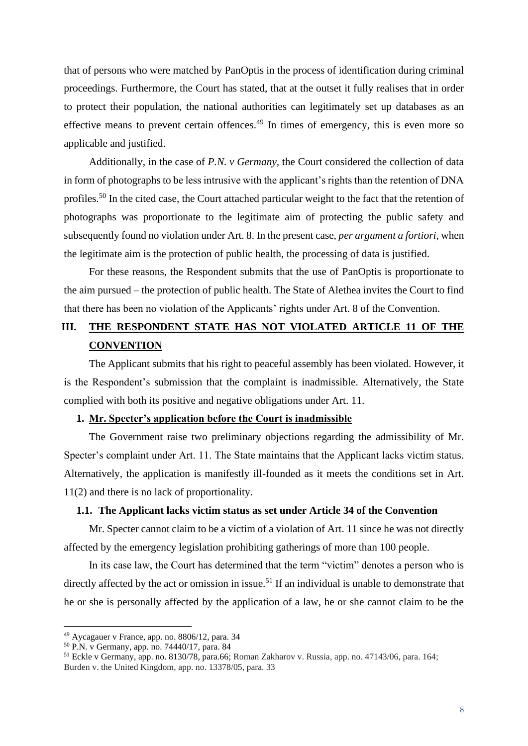that of persons who were matched by PanOptis in the process of identification during criminal proceedings. Furthermore, the Court has stated, that at the outset it fully realises that in order to protect their population, the national authorities can legitimately set up databases as an effective means to prevent certain offences.<sup>49</sup> In times of emergency, this is even more so applicable and justified.

Additionally, in the case of *P.N. v Germany,* the Court considered the collection of data in form of photographs to be less intrusive with the applicant's rights than the retention of DNA profiles.<sup>50</sup> In the cited case, the Court attached particular weight to the fact that the retention of photographs was proportionate to the legitimate aim of protecting the public safety and subsequently found no violation under Art. 8. In the present case, *per argument a fortiori*, when the legitimate aim is the protection of public health, the processing of data is justified.

For these reasons, the Respondent submits that the use of PanOptis is proportionate to the aim pursued – the protection of public health. The State of Alethea invites the Court to find that there has been no violation of the Applicants' rights under Art. 8 of the Convention.

### <span id="page-17-0"></span>**III. THE RESPONDENT STATE HAS NOT VIOLATED ARTICLE 11 OF THE CONVENTION**

The Applicant submits that his right to peaceful assembly has been violated. However, it is the Respondent's submission that the complaint is inadmissible. Alternatively, the State complied with both its positive and negative obligations under Art. 11.

#### <span id="page-17-1"></span>**1. Mr. Specter's application before the Court is inadmissible**

The Government raise two preliminary objections regarding the admissibility of Mr. Specter's complaint under Art. 11. The State maintains that the Applicant lacks victim status. Alternatively, the application is manifestly ill-founded as it meets the conditions set in Art. 11(2) and there is no lack of proportionality.

### <span id="page-17-2"></span>**1.1. The Applicant lacks victim status as set under Article 34 of the Convention**

Mr. Specter cannot claim to be a victim of a violation of Art. 11 since he was not directly affected by the emergency legislation prohibiting gatherings of more than 100 people.

In its case law, the Court has determined that the term "victim" denotes a person who is directly affected by the act or omission in issue.<sup>51</sup> If an individual is unable to demonstrate that he or she is personally affected by the application of a law, he or she cannot claim to be the

<sup>49</sup> Aycagauer v France, app. no. 8806/12, para. 34

<sup>50</sup> P.N. v Germany, app. no. 74440/17, para. 84

<sup>51</sup> Eckle v Germany, app. no. 8130/78, para.66; Roman Zakharov v. Russia, app. no. 47143/06, para. 164; Burden v. the United Kingdom, app. no. 13378/05, para. 33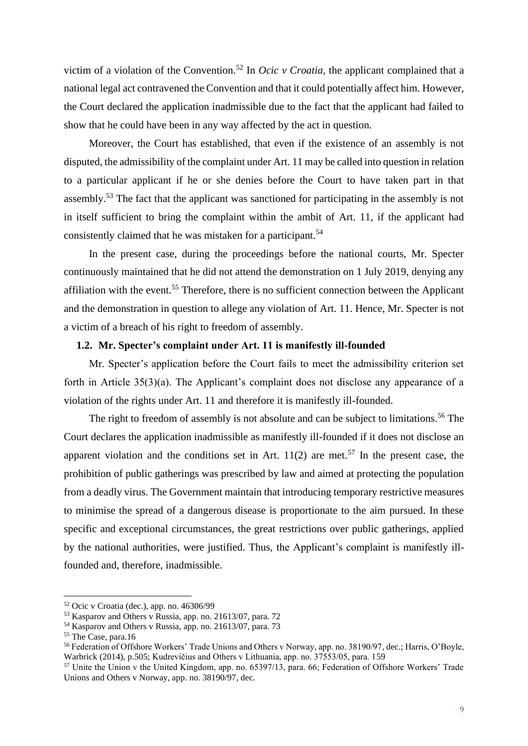victim of a violation of the Convention.<sup>52</sup> In *Ocic v Croatia*, the applicant complained that a national legal act contravened the Convention and that it could potentially affect him. However, the Court declared the application inadmissible due to the fact that the applicant had failed to show that he could have been in any way affected by the act in question.

Moreover, the Court has established, that even if the existence of an assembly is not disputed, the admissibility of the complaint under Art. 11 may be called into question in relation to a particular applicant if he or she denies before the Court to have taken part in that assembly.<sup>53</sup> The fact that the applicant was sanctioned for participating in the assembly is not in itself sufficient to bring the complaint within the ambit of Art. 11, if the applicant had consistently claimed that he was mistaken for a participant.<sup>54</sup>

In the present case, during the proceedings before the national courts, Mr. Specter continuously maintained that he did not attend the demonstration on 1 July 2019, denying any affiliation with the event.<sup>55</sup> Therefore, there is no sufficient connection between the Applicant and the demonstration in question to allege any violation of Art. 11. Hence, Mr. Specter is not a victim of a breach of his right to freedom of assembly.

#### <span id="page-18-0"></span>**1.2. Mr. Specter's complaint under Art. 11 is manifestly ill-founded**

Mr. Specter's application before the Court fails to meet the admissibility criterion set forth in Article 35(3)(a). The Applicant's complaint does not disclose any appearance of a violation of the rights under Art. 11 and therefore it is manifestly ill-founded.

The right to freedom of assembly is not absolute and can be subject to limitations.<sup>56</sup> The Court declares the application inadmissible as manifestly ill-founded if it does not disclose an apparent violation and the conditions set in Art.  $11(2)$  are met.<sup>57</sup> In the present case, the prohibition of public gatherings was prescribed by law and aimed at protecting the population from a deadly virus. The Government maintain that introducing temporary restrictive measures to minimise the spread of a dangerous disease is proportionate to the aim pursued. In these specific and exceptional circumstances, the great restrictions over public gatherings, applied by the national authorities, were justified. Thus, the Applicant's complaint is manifestly illfounded and, therefore, inadmissible.

 $52$  Ocic v Croatia (dec.), app. no. 46306/99

<sup>53</sup> Kasparov and Others v Russia, app. no. 21613/07, para. 72

<sup>54</sup> Kasparov and Others v Russia, app. no. 21613/07, para. 73

<sup>&</sup>lt;sup>55</sup> The Case, para.16

<sup>56</sup> Federation of Offshore Workers' Trade Unions and Others v Norway, app. no. 38190/97, dec.; Harris, O'Boyle, Warbrick (2014), p.505; Kudrevičius and Others v Lithuania, app. no. 37553/05, para. 159

<sup>57</sup> Unite the Union v the United Kingdom, app. no. 65397/13, para. 66; Federation of Offshore Workers' Trade Unions and Others v Norway, app. no. 38190/97, dec.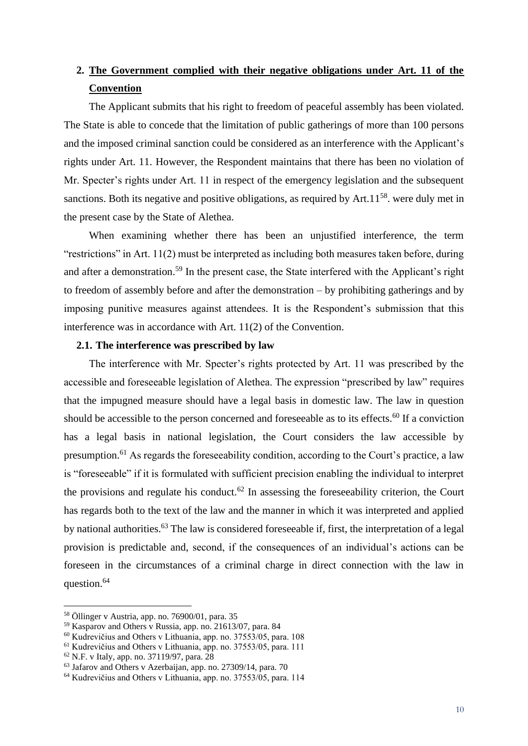### <span id="page-19-0"></span>**2. The Government complied with their negative obligations under Art. 11 of the Convention**

The Applicant submits that his right to freedom of peaceful assembly has been violated. The State is able to concede that the limitation of public gatherings of more than 100 persons and the imposed criminal sanction could be considered as an interference with the Applicant's rights under Art. 11. However, the Respondent maintains that there has been no violation of Mr. Specter's rights under Art. 11 in respect of the emergency legislation and the subsequent sanctions. Both its negative and positive obligations, as required by  $Art.11<sup>58</sup>$ . were duly met in the present case by the State of Alethea.

When examining whether there has been an unjustified interference, the term "restrictions" in Art. 11(2) must be interpreted as including both measures taken before, during and after a demonstration.<sup>59</sup> In the present case, the State interfered with the Applicant's right to freedom of assembly before and after the demonstration – by prohibiting gatherings and by imposing punitive measures against attendees. It is the Respondent's submission that this interference was in accordance with Art. 11(2) of the Convention.

#### <span id="page-19-1"></span>**2.1. The interference was prescribed by law**

The interference with Mr. Specter's rights protected by Art. 11 was prescribed by the accessible and foreseeable legislation of Alethea. The expression "prescribed by law" requires that the impugned measure should have a legal basis in domestic law. The law in question should be accessible to the person concerned and foreseeable as to its effects. $60$  If a conviction has a legal basis in national legislation, the Court considers the law accessible by presumption.<sup>61</sup> As regards the foreseeability condition, according to the Court's practice, a law is "foreseeable" if it is formulated with sufficient precision enabling the individual to interpret the provisions and regulate his conduct.<sup>62</sup> In assessing the foreseeability criterion, the Court has regards both to the text of the law and the manner in which it was interpreted and applied by national authorities.<sup>63</sup> The law is considered foreseeable if, first, the interpretation of a legal provision is predictable and, second, if the consequences of an individual's actions can be foreseen in the circumstances of a criminal charge in direct connection with the law in question.<sup>64</sup>

<sup>58</sup> Öllinger v Austria, app. no. 76900/01, para. 35

<sup>59</sup> Kasparov and Others v Russia, app. no. 21613/07, para. 84

 $60$  Kudrevičius and Others v Lithuania, app. no. 37553/05, para. 108

<sup>61</sup> Kudrevičius and Others v Lithuania, app. no. 37553/05, para. 111

<sup>62</sup> N.F. v Italy, app. no. 37119/97, para. 28

<sup>63</sup> Jafarov and Others v Azerbaijan, app. no. 27309/14, para. 70

<sup>64</sup> Kudrevičius and Others v Lithuania, app. no. 37553/05, para. 114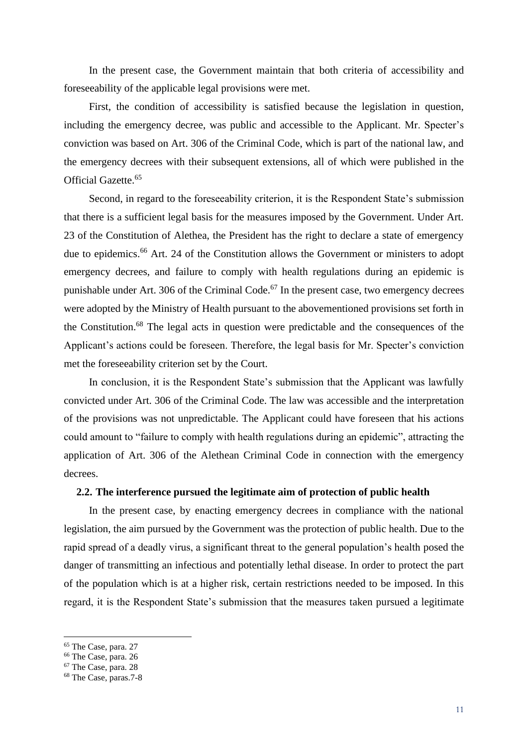In the present case, the Government maintain that both criteria of accessibility and foreseeability of the applicable legal provisions were met.

First, the condition of accessibility is satisfied because the legislation in question, including the emergency decree, was public and accessible to the Applicant. Mr. Specter's conviction was based on Art. 306 of the Criminal Code, which is part of the national law, and the emergency decrees with their subsequent extensions, all of which were published in the Official Gazette.<sup>65</sup>

Second, in regard to the foreseeability criterion, it is the Respondent State's submission that there is a sufficient legal basis for the measures imposed by the Government. Under Art. 23 of the Constitution of Alethea, the President has the right to declare a state of emergency due to epidemics.<sup>66</sup> Art. 24 of the Constitution allows the Government or ministers to adopt emergency decrees, and failure to comply with health regulations during an epidemic is punishable under Art. 306 of the Criminal Code.<sup>67</sup> In the present case, two emergency decrees were adopted by the Ministry of Health pursuant to the abovementioned provisions set forth in the Constitution.<sup>68</sup> The legal acts in question were predictable and the consequences of the Applicant's actions could be foreseen. Therefore, the legal basis for Mr. Specter's conviction met the foreseeability criterion set by the Court.

In conclusion, it is the Respondent State's submission that the Applicant was lawfully convicted under Art. 306 of the Criminal Code. The law was accessible and the interpretation of the provisions was not unpredictable. The Applicant could have foreseen that his actions could amount to "failure to comply with health regulations during an epidemic", attracting the application of Art. 306 of the Alethean Criminal Code in connection with the emergency decrees.

#### <span id="page-20-0"></span>**2.2. The interference pursued the legitimate aim of protection of public health**

In the present case, by enacting emergency decrees in compliance with the national legislation, the aim pursued by the Government was the protection of public health. Due to the rapid spread of a deadly virus, a significant threat to the general population's health posed the danger of transmitting an infectious and potentially lethal disease. In order to protect the part of the population which is at a higher risk, certain restrictions needed to be imposed. In this regard, it is the Respondent State's submission that the measures taken pursued a legitimate

<sup>65</sup> The Case, para. 27

<sup>66</sup> The Case, para. 26

<sup>&</sup>lt;sup>67</sup> The Case, para. 28

<sup>68</sup> The Case, paras.7-8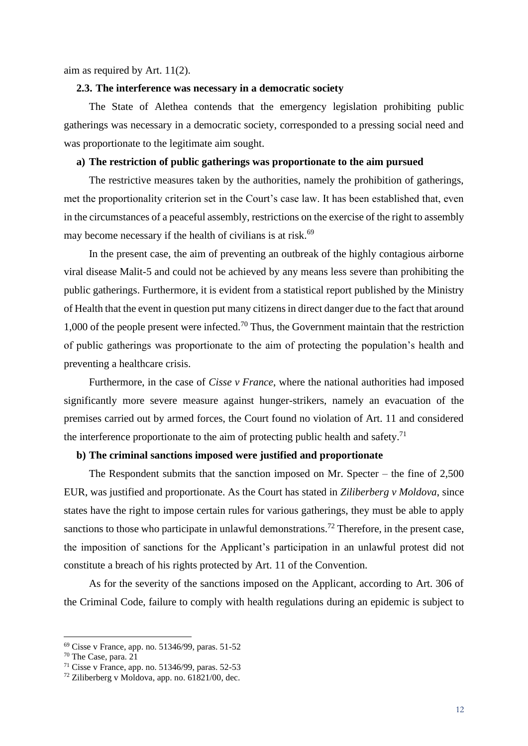aim as required by Art. 11(2).

#### <span id="page-21-0"></span>**2.3. The interference was necessary in a democratic society**

The State of Alethea contends that the emergency legislation prohibiting public gatherings was necessary in a democratic society, corresponded to a pressing social need and was proportionate to the legitimate aim sought.

#### <span id="page-21-1"></span>**a) The restriction of public gatherings was proportionate to the aim pursued**

The restrictive measures taken by the authorities, namely the prohibition of gatherings, met the proportionality criterion set in the Court's case law. It has been established that, even in the circumstances of a peaceful assembly, restrictions on the exercise of the right to assembly may become necessary if the health of civilians is at risk.<sup>69</sup>

In the present case, the aim of preventing an outbreak of the highly contagious airborne viral disease Malit-5 and could not be achieved by any means less severe than prohibiting the public gatherings. Furthermore, it is evident from a statistical report published by the Ministry of Health that the event in question put many citizens in direct danger due to the fact that around 1,000 of the people present were infected.<sup>70</sup> Thus, the Government maintain that the restriction of public gatherings was proportionate to the aim of protecting the population's health and preventing a healthcare crisis.

Furthermore, in the case of *Cisse v France*, where the national authorities had imposed significantly more severe measure against hunger-strikers, namely an evacuation of the premises carried out by armed forces, the Court found no violation of Art. 11 and considered the interference proportionate to the aim of protecting public health and safety.<sup>71</sup>

#### <span id="page-21-2"></span>**b) The criminal sanctions imposed were justified and proportionate**

The Respondent submits that the sanction imposed on Mr. Specter – the fine of 2,500 EUR, was justified and proportionate. As the Court has stated in *Ziliberberg v Moldova*, since states have the right to impose certain rules for various gatherings, they must be able to apply sanctions to those who participate in unlawful demonstrations.<sup>72</sup> Therefore, in the present case, the imposition of sanctions for the Applicant's participation in an unlawful protest did not constitute a breach of his rights protected by Art. 11 of the Convention.

As for the severity of the sanctions imposed on the Applicant, according to Art. 306 of the Criminal Code, failure to comply with health regulations during an epidemic is subject to

<sup>69</sup> Cisse v France, app. no. 51346/99, paras. 51-52

 $70$  The Case, para.  $21$ 

<sup>71</sup> Cisse v France, app. no. 51346/99, paras. 52-53

 $72$  Ziliberberg v Moldova, app. no. 61821/00, dec.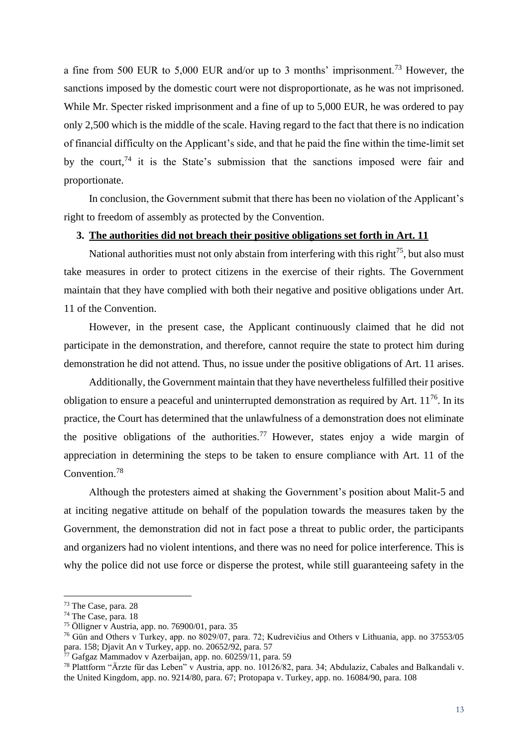a fine from 500 EUR to 5,000 EUR and/or up to 3 months' imprisonment.<sup>73</sup> However, the sanctions imposed by the domestic court were not disproportionate, as he was not imprisoned. While Mr. Specter risked imprisonment and a fine of up to 5,000 EUR, he was ordered to pay only 2,500 which is the middle of the scale. Having regard to the fact that there is no indication of financial difficulty on the Applicant's side, and that he paid the fine within the time-limit set by the court,  $74$  it is the State's submission that the sanctions imposed were fair and proportionate.

In conclusion, the Government submit that there has been no violation of the Applicant's right to freedom of assembly as protected by the Convention.

#### <span id="page-22-0"></span>**3. The authorities did not breach their positive obligations set forth in Art. 11**

National authorities must not only abstain from interfering with this right<sup>75</sup>, but also must take measures in order to protect citizens in the exercise of their rights. The Government maintain that they have complied with both their negative and positive obligations under Art. 11 of the Convention.

However, in the present case, the Applicant continuously claimed that he did not participate in the demonstration, and therefore, cannot require the state to protect him during demonstration he did not attend. Thus, no issue under the positive obligations of Art. 11 arises.

Additionally, the Government maintain that they have nevertheless fulfilled their positive obligation to ensure a peaceful and uninterrupted demonstration as required by Art.  $11^{76}$ . In its practice, the Court has determined that the unlawfulness of a demonstration does not eliminate the positive obligations of the authorities.<sup>77</sup> However, states enjoy a wide margin of appreciation in determining the steps to be taken to ensure compliance with Art. 11 of the Convention.<sup>78</sup>

Although the protesters aimed at shaking the Government's position about Malit-5 and at inciting negative attitude on behalf of the population towards the measures taken by the Government, the demonstration did not in fact pose a threat to public order, the participants and organizers had no violent intentions, and there was no need for police interference. This is why the police did not use force or disperse the protest, while still guaranteeing safety in the

<sup>73</sup> The Case, para. 28

<sup>74</sup> The Case, para. 18

<sup>75</sup> Ölligner v Austria, app. no. 76900/01, para. 35

<sup>76</sup> Gün and Others v Turkey, app. no 8029/07, para. 72; Kudrevičius and Others v Lithuania, app. no 37553/05 para. 158; Djavit An v Turkey, app. no. 20652/92, para. 57

 $77$  Gafgaz Mammadov v Azerbaijan, app. no. 60259/11, para. 59

<sup>78</sup> Plattform "Ärzte für das Leben" v Austria, app. no. 10126/82, para. 34; Abdulaziz, Cabales and Balkandali v. the United Kingdom, app. no. 9214/80, para. 67; Protopapa v. Turkey, app. no. 16084/90, para. 108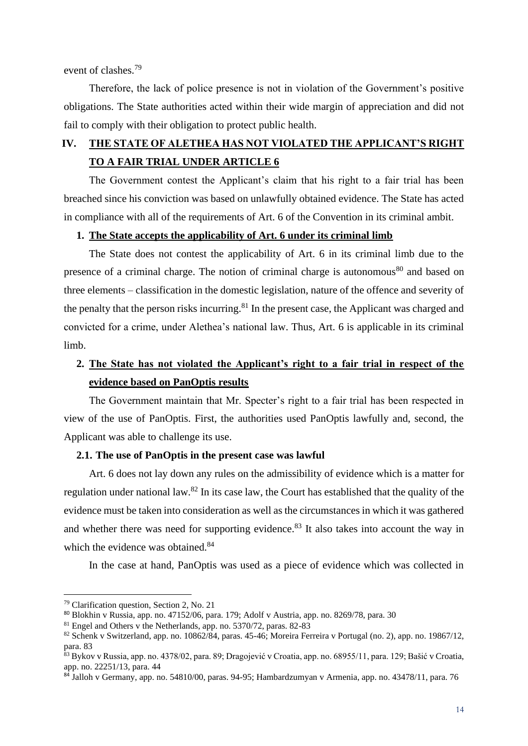event of clashes.<sup>79</sup>

Therefore, the lack of police presence is not in violation of the Government's positive obligations. The State authorities acted within their wide margin of appreciation and did not fail to comply with their obligation to protect public health.

### <span id="page-23-0"></span>**IV. THE STATE OF ALETHEA HAS NOT VIOLATED THE APPLICANT'S RIGHT TO A FAIR TRIAL UNDER ARTICLE 6**

The Government contest the Applicant's claim that his right to a fair trial has been breached since his conviction was based on unlawfully obtained evidence. The State has acted in compliance with all of the requirements of Art. 6 of the Convention in its criminal ambit.

#### <span id="page-23-1"></span>**1. The State accepts the applicability of Art. 6 under its criminal limb**

The State does not contest the applicability of Art. 6 in its criminal limb due to the presence of a criminal charge. The notion of criminal charge is autonomous<sup>80</sup> and based on three elements – classification in the domestic legislation, nature of the offence and severity of the penalty that the person risks incurring.<sup>81</sup> In the present case, the Applicant was charged and convicted for a crime, under Alethea's national law. Thus, Art. 6 is applicable in its criminal limb.

### <span id="page-23-2"></span>**2. The State has not violated the Applicant's right to a fair trial in respect of the evidence based on PanOptis results**

The Government maintain that Mr. Specter's right to a fair trial has been respected in view of the use of PanOptis. First, the authorities used PanOptis lawfully and, second, the Applicant was able to challenge its use.

#### <span id="page-23-3"></span>**2.1. The use of PanOptis in the present case was lawful**

Art. 6 does not lay down any rules on the admissibility of evidence which is a matter for regulation under national law.<sup>82</sup> In its case law, the Court has established that the quality of the evidence must be taken into consideration as well as the circumstances in which it was gathered and whether there was need for supporting evidence.<sup>83</sup> It also takes into account the way in which the evidence was obtained.<sup>84</sup>

In the case at hand, PanOptis was used as a piece of evidence which was collected in

<sup>79</sup> Clarification question, Section 2, No. 21

<sup>80</sup> Blokhin v Russia, app. no. 47152/06, para. 179; Adolf v Austria, app. no. 8269/78, para. 30

<sup>81</sup> Engel and Others v the Netherlands, app. no. 5370/72, paras. 82-83

<sup>82</sup> Schenk v Switzerland, app. no. 10862/84, paras. 45-46; Moreira Ferreira v Portugal (no. 2), app. no. 19867/12, para. 83

<sup>83</sup> Bykov v Russia, app. no. 4378/02, para. 89; Dragojević v Croatia, app. no. 68955/11, para. 129; Bašić v Croatia, app. no. 22251/13, para. 44

 $84 \text{ J}$ alloh v Germany, app. no. 54810/00, paras. 94-95; Hambardzumyan v Armenia, app. no. 43478/11, para. 76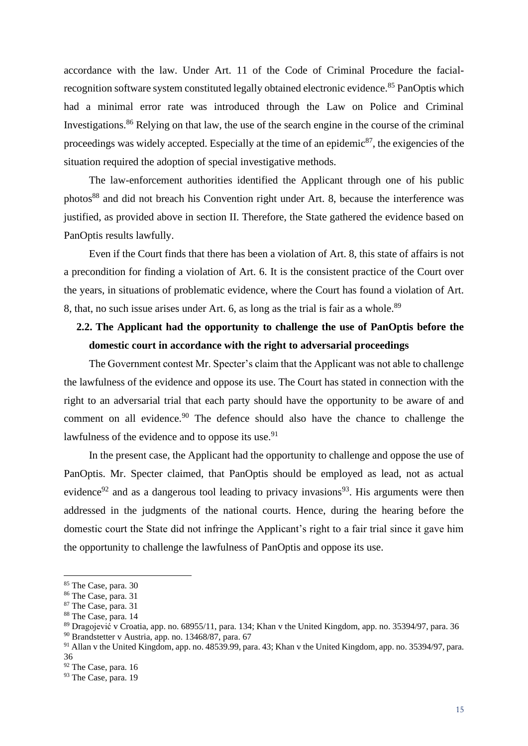accordance with the law. Under Art. 11 of the Code of Criminal Procedure the facialrecognition software system constituted legally obtained electronic evidence.<sup>85</sup> PanOptis which had a minimal error rate was introduced through the Law on Police and Criminal Investigations.<sup>86</sup> Relying on that law, the use of the search engine in the course of the criminal proceedings was widely accepted. Especially at the time of an epidemic<sup>87</sup>, the exigencies of the situation required the adoption of special investigative methods.

The law-enforcement authorities identified the Applicant through one of his public photos<sup>88</sup> and did not breach his Convention right under Art. 8, because the interference was justified, as provided above in section II. Therefore, the State gathered the evidence based on PanOptis results lawfully.

Even if the Court finds that there has been a violation of Art. 8, this state of affairs is not a precondition for finding a violation of Art. 6. It is the consistent practice of the Court over the years, in situations of problematic evidence, where the Court has found a violation of Art. 8, that, no such issue arises under Art. 6, as long as the trial is fair as a whole.<sup>89</sup>

### <span id="page-24-0"></span>**2.2. The Applicant had the opportunity to challenge the use of PanOptis before the domestic court in accordance with the right to adversarial proceedings**

The Government contest Mr. Specter's claim that the Applicant was not able to challenge the lawfulness of the evidence and oppose its use. The Court has stated in connection with the right to an adversarial trial that each party should have the opportunity to be aware of and comment on all evidence.<sup>90</sup> The defence should also have the chance to challenge the lawfulness of the evidence and to oppose its use.<sup>91</sup>

In the present case, the Applicant had the opportunity to challenge and oppose the use of PanOptis. Mr. Specter claimed, that PanOptis should be employed as lead, not as actual evidence<sup>92</sup> and as a dangerous tool leading to privacy invasions<sup>93</sup>. His arguments were then addressed in the judgments of the national courts. Hence, during the hearing before the domestic court the State did not infringe the Applicant's right to a fair trial since it gave him the opportunity to challenge the lawfulness of PanOptis and oppose its use.

<sup>85</sup> The Case, para. 30

<sup>86</sup> The Case, para. 31

<sup>87</sup> The Case, para. 31

<sup>88</sup> The Case, para. 14

<sup>89</sup> Dragojević v Croatia, app. no. 68955/11, para. 134; Khan v the United Kingdom, app. no. 35394/97, para. 36

<sup>90</sup> Brandstetter v Austria, app. no. 13468/87, para. 67

<sup>91</sup> Allan v the United Kingdom, app. no. 48539.99, para. 43; Khan v the United Kingdom, app. no. 35394/97, para. 36

<sup>&</sup>lt;sup>92</sup> The Case, para. 16

<sup>&</sup>lt;sup>93</sup> The Case, para. 19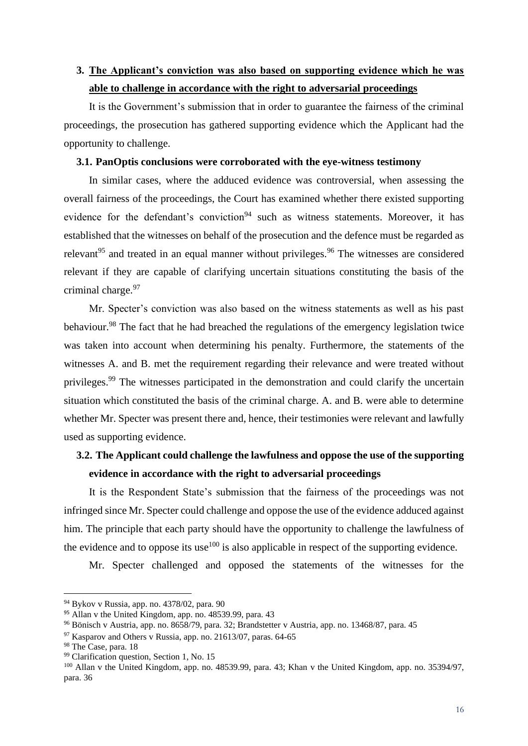### <span id="page-25-0"></span>**3. The Applicant's conviction was also based on supporting evidence which he was able to challenge in accordance with the right to adversarial proceedings**

It is the Government's submission that in order to guarantee the fairness of the criminal proceedings, the prosecution has gathered supporting evidence which the Applicant had the opportunity to challenge.

#### <span id="page-25-1"></span>**3.1. PanOptis conclusions were corroborated with the eye-witness testimony**

In similar cases, where the adduced evidence was controversial, when assessing the overall fairness of the proceedings, the Court has examined whether there existed supporting evidence for the defendant's conviction<sup>94</sup> such as witness statements. Moreover, it has established that the witnesses on behalf of the prosecution and the defence must be regarded as relevant<sup>95</sup> and treated in an equal manner without privileges.<sup>96</sup> The witnesses are considered relevant if they are capable of clarifying uncertain situations constituting the basis of the criminal charge.<sup>97</sup>

Mr. Specter's conviction was also based on the witness statements as well as his past behaviour.<sup>98</sup> The fact that he had breached the regulations of the emergency legislation twice was taken into account when determining his penalty. Furthermore, the statements of the witnesses A. and B. met the requirement regarding their relevance and were treated without privileges.<sup>99</sup> The witnesses participated in the demonstration and could clarify the uncertain situation which constituted the basis of the criminal charge. A. and B. were able to determine whether Mr. Specter was present there and, hence, their testimonies were relevant and lawfully used as supporting evidence.

### <span id="page-25-2"></span>**3.2. The Applicant could challenge the lawfulness and oppose the use of the supporting evidence in accordance with the right to adversarial proceedings**

It is the Respondent State's submission that the fairness of the proceedings was not infringed since Mr. Specter could challenge and oppose the use of the evidence adduced against him. The principle that each party should have the opportunity to challenge the lawfulness of the evidence and to oppose its use<sup>100</sup> is also applicable in respect of the supporting evidence.

Mr. Specter challenged and opposed the statements of the witnesses for the

<sup>94</sup> Bykov v Russia, app. no. 4378/02, para. 90

<sup>95</sup> Allan v the United Kingdom, app. no. 48539.99, para. 43

<sup>96</sup> Bönisch v Austria, app. no. 8658/79, para. 32; Brandstetter v Austria, app. no. 13468/87, para. 45

 $97$  Kasparov and Others v Russia, app. no. 21613/07, paras. 64-65

<sup>&</sup>lt;sup>98</sup> The Case, para. 18

<sup>&</sup>lt;sup>99</sup> Clarification question, Section 1, No. 15

<sup>100</sup> Allan v the United Kingdom, app. no. 48539.99, para. 43; Khan v the United Kingdom, app. no. 35394/97, para. 36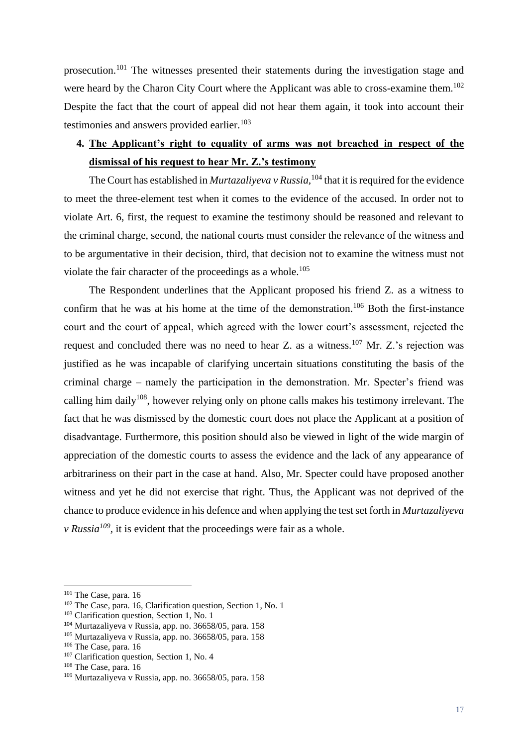prosecution.<sup>101</sup> The witnesses presented their statements during the investigation stage and were heard by the Charon City Court where the Applicant was able to cross-examine them.<sup>102</sup> Despite the fact that the court of appeal did not hear them again, it took into account their testimonies and answers provided earlier. $103$ 

### <span id="page-26-0"></span>**4. The Applicant's right to equality of arms was not breached in respect of the dismissal of his request to hear Mr. Z.'s testimony**

The Court has established in *Murtazaliyeva v Russia*, <sup>104</sup> that it is required for the evidence to meet the three-element test when it comes to the evidence of the accused. In order not to violate Art. 6, first, the request to examine the testimony should be reasoned and relevant to the criminal charge, second, the national courts must consider the relevance of the witness and to be argumentative in their decision, third, that decision not to examine the witness must not violate the fair character of the proceedings as a whole.<sup>105</sup>

The Respondent underlines that the Applicant proposed his friend Z. as a witness to confirm that he was at his home at the time of the demonstration.<sup>106</sup> Both the first-instance court and the court of appeal, which agreed with the lower court's assessment, rejected the request and concluded there was no need to hear Z. as a witness.<sup>107</sup> Mr. Z.'s rejection was justified as he was incapable of clarifying uncertain situations constituting the basis of the criminal charge – namely the participation in the demonstration. Mr. Specter's friend was calling him daily $108$ , however relying only on phone calls makes his testimony irrelevant. The fact that he was dismissed by the domestic court does not place the Applicant at a position of disadvantage. Furthermore, this position should also be viewed in light of the wide margin of appreciation of the domestic courts to assess the evidence and the lack of any appearance of arbitrariness on their part in the case at hand. Also, Mr. Specter could have proposed another witness and yet he did not exercise that right. Thus, the Applicant was not deprived of the chance to produce evidence in his defence and when applying the test set forth in *Murtazaliyeva v Russia*<sup> $109$ </sup>, it is evident that the proceedings were fair as a whole.

<sup>&</sup>lt;sup>101</sup> The Case, para. 16

<sup>&</sup>lt;sup>102</sup> The Case, para. 16, Clarification question, Section 1, No. 1

<sup>&</sup>lt;sup>103</sup> Clarification question, Section 1, No. 1

<sup>104</sup> Murtazaliyeva v Russia, app. no. 36658/05, para. 158

 $105$  Murtazaliyeva v Russia, app. no. 36658/05, para. 158

<sup>106</sup> The Case, para. 16

<sup>&</sup>lt;sup>107</sup> Clarification question, Section 1, No. 4

<sup>108</sup> The Case, para. 16

<sup>109</sup> Murtazaliyeva v Russia, app. no. 36658/05, para. 158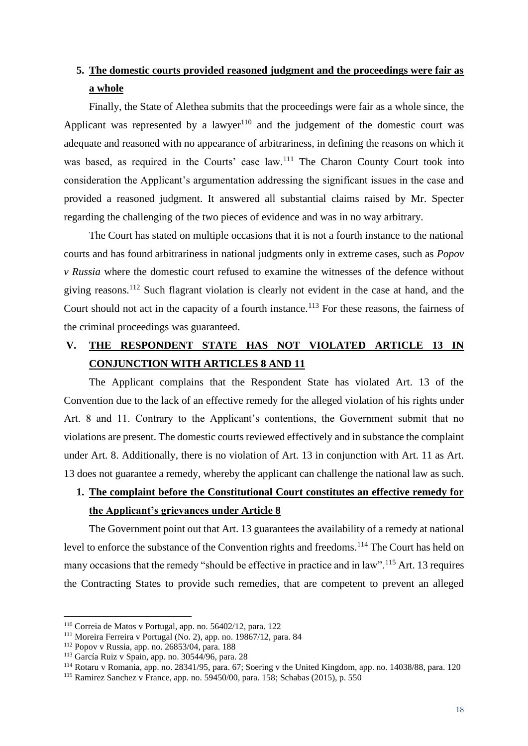### <span id="page-27-0"></span>**5. The domestic courts provided reasoned judgment and the proceedings were fair as a whole**

Finally, the State of Alethea submits that the proceedings were fair as a whole since, the Applicant was represented by a lawyer<sup>110</sup> and the judgement of the domestic court was adequate and reasoned with no appearance of arbitrariness, in defining the reasons on which it was based, as required in the Courts' case law.<sup>111</sup> The Charon County Court took into consideration the Applicant's argumentation addressing the significant issues in the case and provided a reasoned judgment. It answered all substantial claims raised by Mr. Specter regarding the challenging of the two pieces of evidence and was in no way arbitrary.

The Court has stated on multiple occasions that it is not a fourth instance to the national courts and has found arbitrariness in national judgments only in extreme cases, such as *Popov v Russia* where the domestic court refused to examine the witnesses of the defence without giving reasons.<sup>112</sup> Such flagrant violation is clearly not evident in the case at hand, and the Court should not act in the capacity of a fourth instance.<sup>113</sup> For these reasons, the fairness of the criminal proceedings was guaranteed.

## <span id="page-27-1"></span>**V. THE RESPONDENT STATE HAS NOT VIOLATED ARTICLE 13 IN CONJUNCTION WITH ARTICLES 8 AND 11**

The Applicant complains that the Respondent State has violated Art. 13 of the Convention due to the lack of an effective remedy for the alleged violation of his rights under Art. 8 and 11. Contrary to the Applicant's contentions, the Government submit that no violations are present. The domestic courts reviewed effectively and in substance the complaint under Art. 8. Additionally, there is no violation of Art. 13 in conjunction with Art. 11 as Art. 13 does not guarantee a remedy, whereby the applicant can challenge the national law as such.

### <span id="page-27-2"></span>**1. The complaint before the Constitutional Court constitutes an effective remedy for the Applicant's grievances under Article 8**

The Government point out that Art. 13 guarantees the availability of a remedy at national level to enforce the substance of the Convention rights and freedoms.<sup>114</sup> The Court has held on many occasions that the remedy "should be effective in practice and in law".<sup>115</sup> Art. 13 requires the Contracting States to provide such remedies, that are competent to prevent an alleged

<sup>110</sup> Correia de Matos v Portugal, app. no. 56402/12, para. 122

<sup>111</sup> Moreira Ferreira v Portugal (No. 2), app. no. 19867/12, para. 84

<sup>112</sup> Popov v Russia, app. no. 26853/04, para. 188

<sup>113</sup> García Ruiz v Spain, app. no. 30544/96, para. 28

<sup>114</sup> Rotaru v Romania, app. no. 28341/95, para. 67; Soering v the United Kingdom, app. no. 14038/88, para. 120

<sup>115</sup> Ramirez Sanchez v France, app. no. 59450/00, para. 158; Schabas (2015), p. 550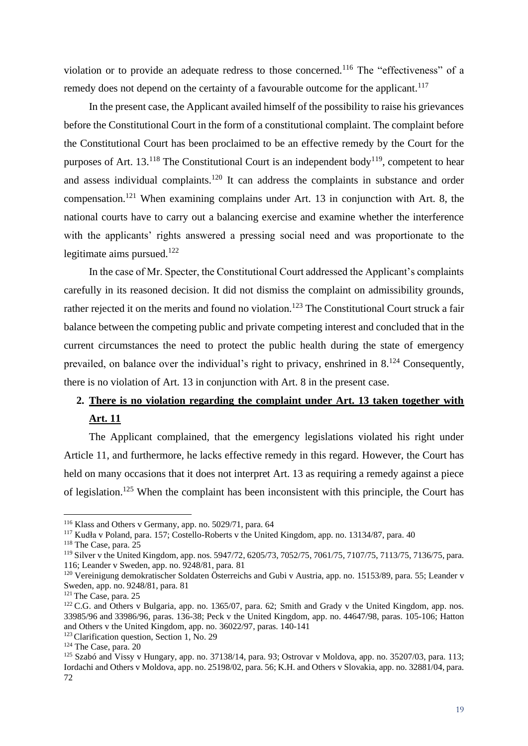violation or to provide an adequate redress to those concerned.<sup>116</sup> The "effectiveness" of a remedy does not depend on the certainty of a favourable outcome for the applicant.<sup>117</sup>

In the present case, the Applicant availed himself of the possibility to raise his grievances before the Constitutional Court in the form of a constitutional complaint. The complaint before the Constitutional Court has been proclaimed to be an effective remedy by the Court for the purposes of Art.  $13^{118}$  The Constitutional Court is an independent body<sup>119</sup>, competent to hear and assess individual complaints.<sup>120</sup> It can address the complaints in substance and order compensation.<sup>121</sup> When examining complains under Art. 13 in conjunction with Art. 8, the national courts have to carry out a balancing exercise and examine whether the interference with the applicants' rights answered a pressing social need and was proportionate to the legitimate aims pursued.<sup>122</sup>

In the case of Mr. Specter, the Constitutional Court addressed the Applicant's complaints carefully in its reasoned decision. It did not dismiss the complaint on admissibility grounds, rather rejected it on the merits and found no violation.<sup>123</sup> The Constitutional Court struck a fair balance between the competing public and private competing interest and concluded that in the current circumstances the need to protect the public health during the state of emergency prevailed, on balance over the individual's right to privacy, enshrined in  $8^{124}$  Consequently, there is no violation of Art. 13 in conjunction with Art. 8 in the present case.

# <span id="page-28-0"></span>**2. There is no violation regarding the complaint under Art. 13 taken together with**

### **Art. 11**

The Applicant complained, that the emergency legislations violated his right under Article 11, and furthermore, he lacks effective remedy in this regard. However, the Court has held on many occasions that it does not interpret Art. 13 as requiring a remedy against a piece of legislation.<sup>125</sup> When the complaint has been inconsistent with this principle, the Court has

<sup>116</sup> Klass and Others v Germany, app. no. 5029/71, para. 64

<sup>117</sup> Kudła v Poland, para. 157; Costello-Roberts v the United Kingdom, app. no. 13134/87, para. 40

<sup>118</sup> The Case, para. 25

<sup>119</sup> Silver v the United Kingdom, app. nos. 5947/72, 6205/73, 7052/75, 7061/75, 7107/75, 7113/75, 7136/75, para. 116; Leander v Sweden, app. no. 9248/81, para. 81

<sup>&</sup>lt;sup>120</sup> Vereinigung demokratischer Soldaten Österreichs and Gubi v Austria, app. no. 15153/89, para. 55; Leander v Sweden, app. no. 9248/81, para. 81

<sup>&</sup>lt;sup>121</sup> The Case, para. 25

<sup>&</sup>lt;sup>122</sup> C.G. and Others v Bulgaria, app. no. 1365/07, para. 62; Smith and Grady v the United Kingdom, app. nos. [33985/96](https://hudoc.echr.coe.int/eng#{%22appno%22:[%2233985/96%22]}) and [33986/96,](https://hudoc.echr.coe.int/eng#{%22appno%22:[%2233986/96%22]}) paras. 136-38; Peck v the United Kingdom, app. no. [44647/98,](https://hudoc.echr.coe.int/eng#{%22appno%22:[%2244647/98%22]}) paras. 105-106; Hatton and Others v the United Kingdom, app. no. [36022/97,](https://hudoc.echr.coe.int/eng#{%22appno%22:[%2236022/97%22]}) paras. 140-141

<sup>&</sup>lt;sup>123</sup> Clarification question, Section 1, No. 29

<sup>124</sup> The Case, para. 20

<sup>125</sup> Szabó and Vissy v Hungary, app. no. 37138/14, para. 93; Ostrovar v Moldova, app. no. 35207/03, para. 113; Iordachi and Others v Moldova, app. no. 25198/02, para. 56; K.H. and Others v Slovakia, app. no. 32881/04, para. 72